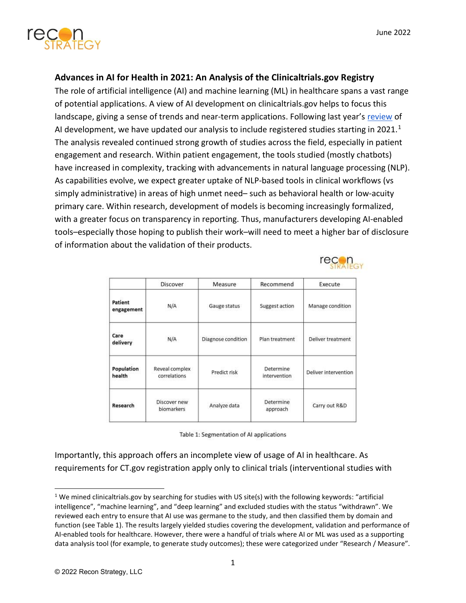

## Advances in AI for Health in 2021: An Analysis of the Clinicaltrials.gov Registry

The role of artificial intelligence (AI) and machine learning (ML) in healthcare spans a vast range of potential applications. A view of AI development on clinicaltrials.gov helps to focus this landscape, giving a sense of trends and near-term applications. Following last year's review of AI development, we have updated our analysis to include registered studies starting in 2021.<sup>1</sup> The analysis revealed continued strong growth of studies across the field, especially in patient engagement and research. Within patient engagement, the tools studied (mostly chatbots) have increased in complexity, tracking with advancements in natural language processing (NLP). As capabilities evolve, we expect greater uptake of NLP-based tools in clinical workflows (vs simply administrative) in areas of high unmet need– such as behavioral health or low-acuity primary care. Within research, development of models is becoming increasingly formalized, with a greater focus on transparency in reporting. Thus, manufacturers developing AI-enabled tools–especially those hoping to publish their work–will need to meet a higher bar of disclosure of information about the validation of their products.



|                       | Discover                       | Measure            | Recommend                 | Execute<br>Manage condition<br>Deliver treatment |
|-----------------------|--------------------------------|--------------------|---------------------------|--------------------------------------------------|
| Patient<br>engagement | N/A                            | Gauge status       | Suggest action            |                                                  |
| Care<br>delivery      | N/A                            | Diagnose condition | Plan treatment            |                                                  |
| Population<br>health  | Reveal complex<br>correlations | Predict risk       | Determine<br>intervention | Deliver intervention                             |
| Research              | Discover new<br>biomarkers     | Analyze data       | Determine<br>approach     | Carry out R&D                                    |

|  | Table 1: Segmentation of AI applications |  |  |
|--|------------------------------------------|--|--|
|--|------------------------------------------|--|--|

Importantly, this approach offers an incomplete view of usage of AI in healthcare. As requirements for CT.gov registration apply only to clinical trials (interventional studies with

<sup>&</sup>lt;sup>1</sup> We mined clinicaltrials.gov by searching for studies with US site(s) with the following keywords: "artificial intelligence", "machine learning", and "deep learning" and excluded studies with the status "withdrawn". We reviewed each entry to ensure that AI use was germane to the study, and then classified them by domain and function (see Table 1). The results largely yielded studies covering the development, validation and performance of AI-enabled tools for healthcare. However, there were a handful of trials where AI or ML was used as a supporting data analysis tool (for example, to generate study outcomes); these were categorized under "Research / Measure".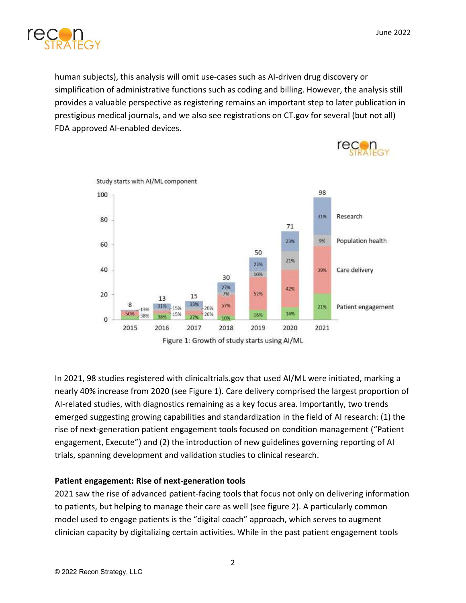

human subjects), this analysis will omit use-cases such as AI-driven drug discovery or simplification of administrative functions such as coding and billing. However, the analysis still provides a valuable perspective as registering remains an important step to later publication in prestigious medical journals, and we also see registrations on CT.gov for several (but not all) FDA approved AI-enabled devices.



In 2021, 98 studies registered with clinicaltrials.gov that used AI/ML were initiated, marking a nearly 40% increase from 2020 (see Figure 1). Care delivery comprised the largest proportion of AI-related studies, with diagnostics remaining as a key focus area. Importantly, two trends emerged suggesting growing capabilities and standardization in the field of AI research: (1) the rise of next-generation patient engagement tools focused on condition management ("Patient engagement, Execute") and (2) the introduction of new guidelines governing reporting of AI trials, spanning development and validation studies to clinical research.

## Patient engagement: Rise of next-generation tools

2021 saw the rise of advanced patient-facing tools that focus not only on delivering information to patients, but helping to manage their care as well (see figure 2). A particularly common model used to engage patients is the "digital coach" approach, which serves to augment clinician capacity by digitalizing certain activities. While in the past patient engagement tools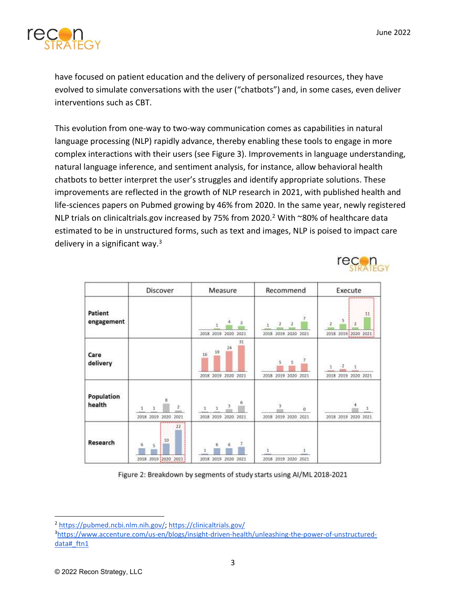

have focused on patient education and the delivery of personalized resources, they have evolved to simulate conversations with the user ("chatbots") and, in some cases, even deliver interventions such as CBT.

This evolution from one-way to two-way communication comes as capabilities in natural language processing (NLP) rapidly advance, thereby enabling these tools to engage in more complex interactions with their users (see Figure 3). Improvements in language understanding, natural language inference, and sentiment analysis, for instance, allow behavioral health chatbots to better interpret the user's struggles and identify appropriate solutions. These improvements are reflected in the growth of NLP research in 2021, with published health and life-sciences papers on Pubmed growing by 46% from 2020. In the same year, newly registered NLP trials on clinicaltrials.gov increased by 75% from 2020.<sup>2</sup> With ~80% of healthcare data estimated to be in unstructured forms, such as text and images, NLP is poised to impact care delivery in a significant way.<sup>3</sup>



|                       | Discover                                                                   | Measure                                             | Recommend                                                 | Execute                                |
|-----------------------|----------------------------------------------------------------------------|-----------------------------------------------------|-----------------------------------------------------------|----------------------------------------|
| Patient<br>engagement |                                                                            | з<br>2018 2019 2020 2021                            | Ÿ.<br>$\mathbf{2}$<br>$\mathbf{z}$<br>2018 2019 2020 2021 | 11<br>$-5$<br>2<br>2018 2019 2020 2021 |
| Care<br>delivery      |                                                                            | 31<br>24<br>19<br>16<br>2018 2019 2020 2021         | š<br>5<br>2018 2019 2020 2021                             | -2<br>d.<br>۹.<br>2018 2019 2020 2021  |
| Population<br>health  | $\overline{\mathbf{8}}$<br>21<br>$\mathbf{1}$<br>2018 2019 2020 2021<br>22 | б<br>$\beta$<br>$\mathbf{1}$<br>2018 2019 2020 2021 | 3<br>û<br>2018 2019 2020 2021                             | 2018 2019 2020 2021                    |
| Research              | 10<br>6<br>5<br>2018 2019 2020 2021                                        | 2018 2019 2020 2021                                 | 2018 2019 2020 2021                                       |                                        |

Figure 2: Breakdown by segments of study starts using AI/ML 2018-2021

<sup>2</sup> https://pubmed.ncbi.nlm.nih.gov/; https://clinicaltrials.gov/

<sup>3</sup>https://www.accenture.com/us-en/blogs/insight-driven-health/unleashing-the-power-of-unstructureddata# ftn1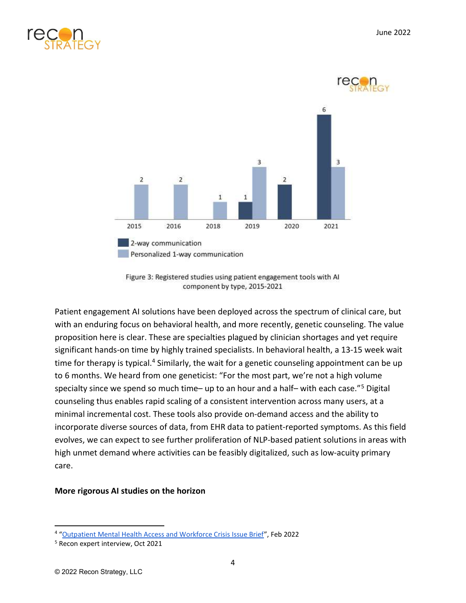



Figure 3: Registered studies using patient engagement tools with AI component by type, 2015-2021

Patient engagement AI solutions have been deployed across the spectrum of clinical care, but with an enduring focus on behavioral health, and more recently, genetic counseling. The value proposition here is clear. These are specialties plagued by clinician shortages and yet require significant hands-on time by highly trained specialists. In behavioral health, a 13-15 week wait time for therapy is typical.<sup>4</sup> Similarly, the wait for a genetic counseling appointment can be up to 6 months. We heard from one geneticist: "For the most part, we're not a high volume specialty since we spend so much time- up to an hour and a half- with each case."<sup>5</sup> Digital counseling thus enables rapid scaling of a consistent intervention across many users, at a minimal incremental cost. These tools also provide on-demand access and the ability to incorporate diverse sources of data, from EHR data to patient-reported symptoms. As this field evolves, we can expect to see further proliferation of NLP-based patient solutions in areas with high unmet demand where activities can be feasibly digitalized, such as low-acuity primary care.

## More rigorous AI studies on the horizon

<sup>&</sup>lt;sup>4</sup> "Outpatient Mental Health Access and Workforce Crisis Issue Brief", Feb 2022

<sup>5</sup> Recon expert interview, Oct 2021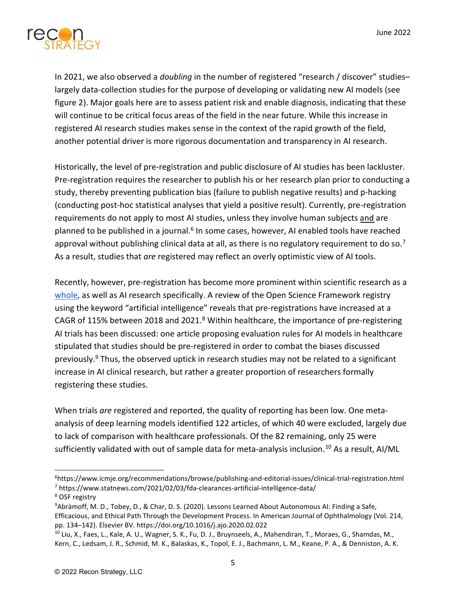

In 2021, we also observed a *doubling* in the number of registered "research / discover" studies– largely data-collection studies for the purpose of developing or validating new AI models (see figure 2). Major goals here are to assess patient risk and enable diagnosis, indicating that these will continue to be critical focus areas of the field in the near future. While this increase in registered AI research studies makes sense in the context of the rapid growth of the field, another potential driver is more rigorous documentation and transparency in AI research.

Historically, the level of pre-registration and public disclosure of AI studies has been lackluster. Pre-registration requires the researcher to publish his or her research plan prior to conducting a study, thereby preventing publication bias (failure to publish negative results) and p-hacking (conducting post-hoc statistical analyses that yield a positive result). Currently, pre-registration requirements do not apply to most AI studies, unless they involve human subjects and are planned to be published in a journal.<sup>6</sup> In some cases, however, AI enabled tools have reached approval without publishing clinical data at all, as there is no regulatory requirement to do so.<sup>7</sup> As a result, studies that are registered may reflect an overly optimistic view of AI tools.

Recently, however, pre-registration has become more prominent within scientific research as a whole, as well as AI research specifically. A review of the Open Science Framework registry using the keyword "artificial intelligence" reveals that pre-registrations have increased at a CAGR of 115% between 2018 and 2021.<sup>8</sup> Within healthcare, the importance of pre-registering AI trials has been discussed: one article proposing evaluation rules for AI models in healthcare stipulated that studies should be pre-registered in order to combat the biases discussed previously.<sup>9</sup> Thus, the observed uptick in research studies may not be related to a significant increase in AI clinical research, but rather a greater proportion of researchers formally registering these studies.

When trials are registered and reported, the quality of reporting has been low. One metaanalysis of deep learning models identified 122 articles, of which 40 were excluded, largely due to lack of comparison with healthcare professionals. Of the 82 remaining, only 25 were sufficiently validated with out of sample data for meta-analysis inclusion.<sup>10</sup> As a result, AI/ML

<sup>6</sup>https://www.icmje.org/recommendations/browse/publishing-and-editorial-issues/clinical-trial-registration.html <sup>7</sup> https://www.statnews.com/2021/02/03/fda-clearances-artificial-intelligence-data/

<sup>8</sup> OSF registry

<sup>9</sup>Abràmoff, M. D., Tobey, D., & Char, D. S. (2020). Lessons Learned About Autonomous AI: Finding a Safe, Efficacious, and Ethical Path Through the Development Process. In American Journal of Ophthalmology (Vol. 214, pp. 134–142). Elsevier BV. https://doi.org/10.1016/j.ajo.2020.02.022

<sup>10</sup> Liu, X., Faes, L., Kale, A. U., Wagner, S. K., Fu, D. J., Bruynseels, A., Mahendiran, T., Moraes, G., Shamdas, M., Kern, C., Ledsam, J. R., Schmid, M. K., Balaskas, K., Topol, E. J., Bachmann, L. M., Keane, P. A., & Denniston, A. K.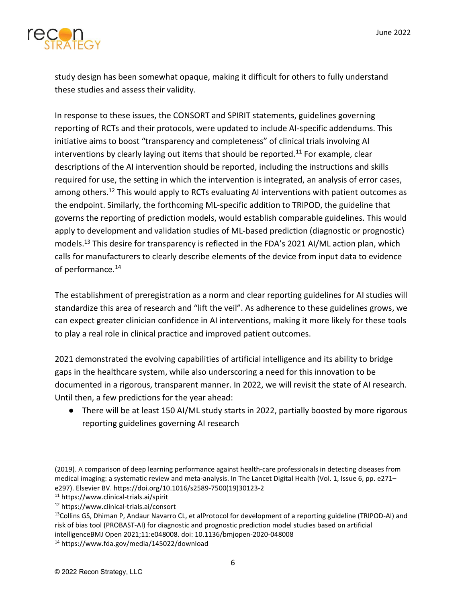

study design has been somewhat opaque, making it difficult for others to fully understand these studies and assess their validity.

In response to these issues, the CONSORT and SPIRIT statements, guidelines governing reporting of RCTs and their protocols, were updated to include AI-specific addendums. This initiative aims to boost "transparency and completeness" of clinical trials involving AI interventions by clearly laying out items that should be reported.<sup>11</sup> For example, clear descriptions of the AI intervention should be reported, including the instructions and skills required for use, the setting in which the intervention is integrated, an analysis of error cases, among others.<sup>12</sup> This would apply to RCTs evaluating AI interventions with patient outcomes as the endpoint. Similarly, the forthcoming ML-specific addition to TRIPOD, the guideline that governs the reporting of prediction models, would establish comparable guidelines. This would apply to development and validation studies of ML-based prediction (diagnostic or prognostic) models.<sup>13</sup> This desire for transparency is reflected in the FDA's 2021 AI/ML action plan, which calls for manufacturers to clearly describe elements of the device from input data to evidence of performance.<sup>14</sup>

The establishment of preregistration as a norm and clear reporting guidelines for AI studies will standardize this area of research and "lift the veil". As adherence to these guidelines grows, we can expect greater clinician confidence in AI interventions, making it more likely for these tools to play a real role in clinical practice and improved patient outcomes.

2021 demonstrated the evolving capabilities of artificial intelligence and its ability to bridge gaps in the healthcare system, while also underscoring a need for this innovation to be documented in a rigorous, transparent manner. In 2022, we will revisit the state of AI research. Until then, a few predictions for the year ahead:

● There will be at least 150 AI/ML study starts in 2022, partially boosted by more rigorous reporting guidelines governing AI research

<sup>(2019).</sup> A comparison of deep learning performance against health-care professionals in detecting diseases from medical imaging: a systematic review and meta-analysis. In The Lancet Digital Health (Vol. 1, Issue 6, pp. e271– e297). Elsevier BV. https://doi.org/10.1016/s2589-7500(19)30123-2

<sup>11</sup> https://www.clinical-trials.ai/spirit

<sup>12</sup> https://www.clinical-trials.ai/consort

<sup>&</sup>lt;sup>13</sup>Collins GS, Dhiman P, Andaur Navarro CL, et alProtocol for development of a reporting guideline (TRIPOD-AI) and risk of bias tool (PROBAST-AI) for diagnostic and prognostic prediction model studies based on artificial intelligenceBMJ Open 2021;11:e048008. doi: 10.1136/bmjopen-2020-048008

<sup>14</sup> https://www.fda.gov/media/145022/download